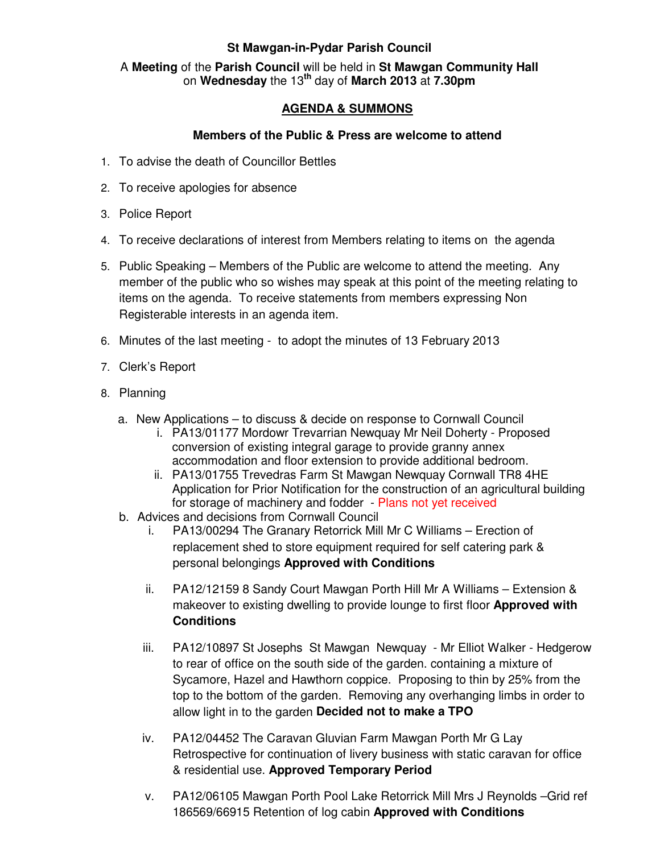## **St Mawgan-in-Pydar Parish Council**

## A **Meeting** of the **Parish Council** will be held in **St Mawgan Community Hall** on **Wednesday** the 13**th** day of **March 2013** at **7.30pm**

## **AGENDA & SUMMONS**

## **Members of the Public & Press are welcome to attend**

- 1. To advise the death of Councillor Bettles
- 2. To receive apologies for absence
- 3. Police Report
- 4. To receive declarations of interest from Members relating to items on the agenda
- 5. Public Speaking Members of the Public are welcome to attend the meeting. Any member of the public who so wishes may speak at this point of the meeting relating to items on the agenda. To receive statements from members expressing Non Registerable interests in an agenda item.
- 6. Minutes of the last meeting to adopt the minutes of 13 February 2013
- 7. Clerk's Report
- 8. Planning
	- a. New Applications to discuss & decide on response to Cornwall Council
		- i. PA13/01177 Mordowr Trevarrian Newquay Mr Neil Doherty Proposed conversion of existing integral garage to provide granny annex accommodation and floor extension to provide additional bedroom.
		- ii. PA13/01755 Trevedras Farm St Mawgan Newquay Cornwall TR8 4HE Application for Prior Notification for the construction of an agricultural building for storage of machinery and fodder - Plans not yet received
	- b. Advices and decisions from Cornwall Council
		- i. PA13/00294 The Granary Retorrick Mill Mr C Williams Erection of replacement shed to store equipment required for self catering park & personal belongings **Approved with Conditions**
		- ii. PA12/12159 8 Sandy Court Mawgan Porth Hill Mr A Williams Extension & makeover to existing dwelling to provide lounge to first floor **Approved with Conditions**
		- iii. PA12/10897 St Josephs St Mawgan Newquay Mr Elliot Walker Hedgerow to rear of office on the south side of the garden. containing a mixture of Sycamore, Hazel and Hawthorn coppice. Proposing to thin by 25% from the top to the bottom of the garden. Removing any overhanging limbs in order to allow light in to the garden **Decided not to make a TPO**
		- iv. PA12/04452 The Caravan Gluvian Farm Mawgan Porth Mr G Lay Retrospective for continuation of livery business with static caravan for office & residential use. **Approved Temporary Period**
		- v. PA12/06105 Mawgan Porth Pool Lake Retorrick Mill Mrs J Reynolds –Grid ref 186569/66915 Retention of log cabin **Approved with Conditions**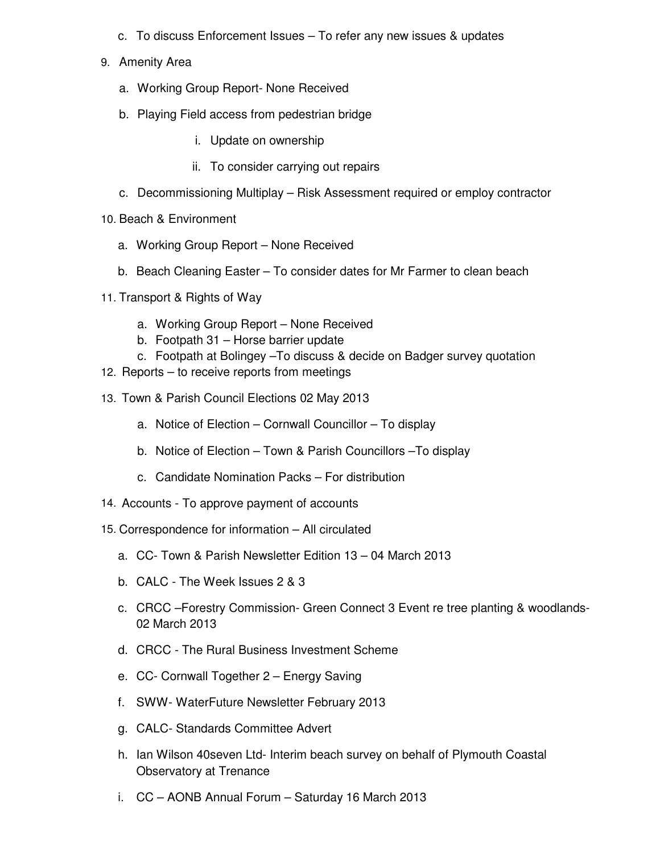- c. To discuss Enforcement Issues To refer any new issues & updates
- 9. Amenity Area
	- a. Working Group Report- None Received
	- b. Playing Field access from pedestrian bridge
		- i. Update on ownership
		- ii. To consider carrying out repairs
	- c. Decommissioning Multiplay Risk Assessment required or employ contractor
- 10. Beach & Environment
	- a. Working Group Report None Received
	- b. Beach Cleaning Easter To consider dates for Mr Farmer to clean beach
- 11. Transport & Rights of Way
	- a. Working Group Report None Received
	- b. Footpath 31 Horse barrier update
	- c. Footpath at Bolingey –To discuss & decide on Badger survey quotation
- 12. Reports to receive reports from meetings
- 13. Town & Parish Council Elections 02 May 2013
	- a. Notice of Election Cornwall Councillor To display
	- b. Notice of Election Town & Parish Councillors –To display
	- c. Candidate Nomination Packs For distribution
- 14. Accounts To approve payment of accounts
- 15. Correspondence for information All circulated
	- a. CC- Town & Parish Newsletter Edition 13 04 March 2013
	- b. CALC The Week Issues 2 & 3
	- c. CRCC –Forestry Commission- Green Connect 3 Event re tree planting & woodlands-02 March 2013
	- d. CRCC The Rural Business Investment Scheme
	- e. CC- Cornwall Together 2 Energy Saving
	- f. SWW- WaterFuture Newsletter February 2013
	- g. CALC- Standards Committee Advert
	- h. Ian Wilson 40seven Ltd- Interim beach survey on behalf of Plymouth Coastal Observatory at Trenance
	- i. CC AONB Annual Forum Saturday 16 March 2013